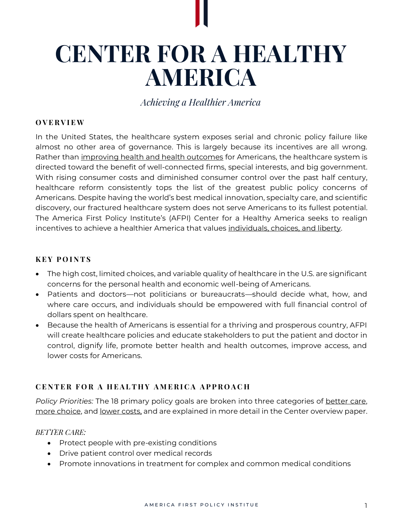# **CENTER FOR A HEALTHY AMERICA**

*Achieving a Healthier America*

## **O V E R V I E W**

In the United States, the healthcare system exposes serial and chronic policy failure like almost no other area of governance. This is largely because its incentives are all wrong. Rather than improving health and health outcomes for Americans, the healthcare system is directed toward the benefit of well-connected firms, special interests, and big government. With rising consumer costs and diminished consumer control over the past half century, healthcare reform consistently tops the list of the greatest public policy concerns of Americans. Despite having the world's best medical innovation, specialty care, and scientific discovery, our fractured healthcare system does not serve Americans to its fullest potential. The America First Policy Institute's (AFPI) Center for a Healthy America seeks to realign incentives to achieve a healthier America that values individuals, choices, and liberty.

#### **K E Y P O I N T S**

- The high cost, limited choices, and variable quality of healthcare in the U.S. are significant concerns for the personal health and economic well-being of Americans.
- Patients and doctors—not politicians or bureaucrats—should decide what, how, and where care occurs, and individuals should be empowered with full financial control of dollars spent on healthcare.
- Because the health of Americans is essential for a thriving and prosperous country, AFPI will create healthcare policies and educate stakeholders to put the patient and doctor in control, dignify life, promote better health and health outcomes, improve access, and lower costs for Americans.

# **C E N T E R F O R A H E A L T H Y A M E R I C A A P P R O A C H**

*Policy Priorities:* The 18 primary policy goals are broken into three categories of better care, more choice, and lower costs, and are explained in more detail in the Center overview paper.

*BETTER CARE:*

- Protect people with pre-existing conditions
- Drive patient control over medical records
- Promote innovations in treatment for complex and common medical conditions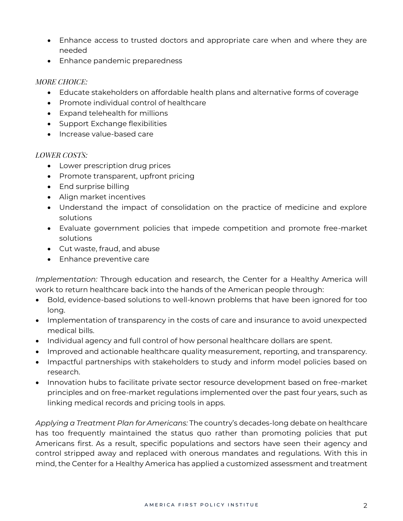- Enhance access to trusted doctors and appropriate care when and where they are needed
- Enhance pandemic preparedness

## *MORE CHOICE:*

- Educate stakeholders on affordable health plans and alternative forms of coverage
- Promote individual control of healthcare
- Expand telehealth for millions
- Support Exchange flexibilities
- Increase value-based care

## *LOWER COSTS:*

- Lower prescription drug prices
- Promote transparent, upfront pricing
- End surprise billing
- Align market incentives
- Understand the impact of consolidation on the practice of medicine and explore solutions
- Evaluate government policies that impede competition and promote free-market solutions
- Cut waste, fraud, and abuse
- Enhance preventive care

*Implementation:* Through education and research, the Center for a Healthy America will work to return healthcare back into the hands of the American people through:

- Bold, evidence-based solutions to well-known problems that have been ignored for too long.
- Implementation of transparency in the costs of care and insurance to avoid unexpected medical bills.
- Individual agency and full control of how personal healthcare dollars are spent.
- Improved and actionable healthcare quality measurement, reporting, and transparency.
- Impactful partnerships with stakeholders to study and inform model policies based on research.
- Innovation hubs to facilitate private sector resource development based on free-market principles and on free-market regulations implemented over the past four years, such as linking medical records and pricing tools in apps.

*Applying a Treatment Plan for Americans:* The country's decades-long debate on healthcare has too frequently maintained the status quo rather than promoting policies that put Americans first. As a result, specific populations and sectors have seen their agency and control stripped away and replaced with onerous mandates and regulations. With this in mind, the Center for a Healthy America has applied a customized assessment and treatment